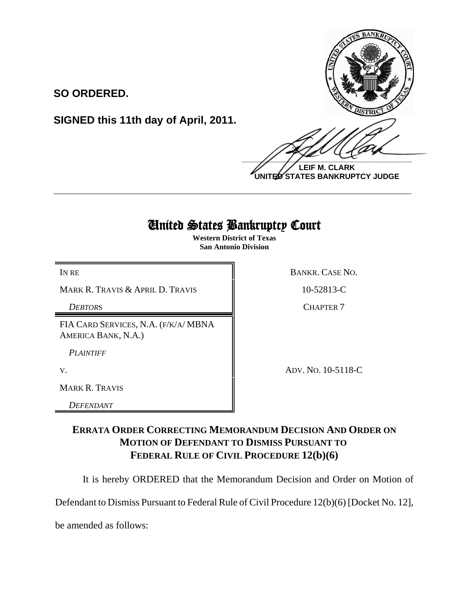

**LEIF M. CLARK UNITED STATES BANKRUPTCY JUDGE**

## United States Bankruptcy Court

**\_\_\_\_\_\_\_\_\_\_\_\_\_\_\_\_\_\_\_\_\_\_\_\_\_\_\_\_\_\_\_\_\_\_\_\_\_\_\_\_\_\_\_\_\_\_\_\_\_\_\_\_\_\_\_\_\_\_\_\_**

**Western District of Texas San Antonio Division**

MARK R. TRAVIS & APRIL D. TRAVIS  $\parallel$  10-52813-C

**SO ORDERED.**

FIA CARD SERVICES, N.A. (F/K/A/ MBNA AMERICA BANK, N.A.)

**SIGNED this 11th day of April, 2011.**

*PLAINTIFF*

MARK R. TRAVIS

*DEFENDANT*

IN RE BANKR. CASE NO.

**DEBTORS** CHAPTER 7

V. ADV. NO. 10-5118-C

## **ERRATA ORDER CORRECTING MEMORANDUM DECISION AND ORDER ON MOTION OF DEFENDANT TO DISMISS PURSUANT TO FEDERAL RULE OF CIVIL PROCEDURE 12(b)(6)**

It is hereby ORDERED that the Memorandum Decision and Order on Motion of

Defendant to Dismiss Pursuant to Federal Rule of Civil Procedure 12(b)(6) [Docket No. 12],

be amended as follows: